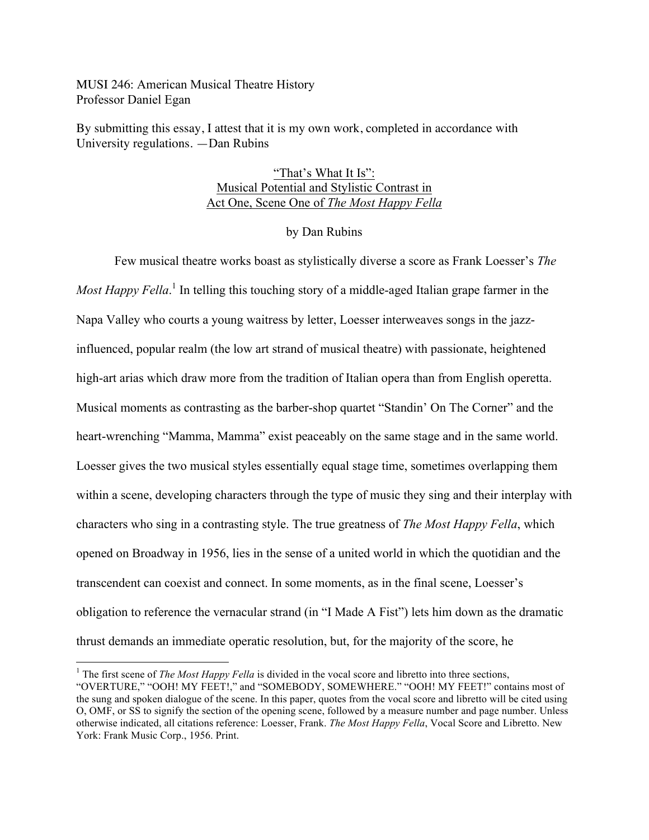MUSI 246: American Musical Theatre History Professor Daniel Egan

By submitting this essay, I attest that it is my own work, completed in accordance with University regulations. —Dan Rubins

## "That's What It Is": Musical Potential and Stylistic Contrast in Act One, Scene One of *The Most Happy Fella*

## by Dan Rubins

Few musical theatre works boast as stylistically diverse a score as Frank Loesser's *The Most Happy Fella*. <sup>1</sup> In telling this touching story of a middle-aged Italian grape farmer in the Napa Valley who courts a young waitress by letter, Loesser interweaves songs in the jazzinfluenced, popular realm (the low art strand of musical theatre) with passionate, heightened high-art arias which draw more from the tradition of Italian opera than from English operetta. Musical moments as contrasting as the barber-shop quartet "Standin' On The Corner" and the heart-wrenching "Mamma, Mamma" exist peaceably on the same stage and in the same world. Loesser gives the two musical styles essentially equal stage time, sometimes overlapping them within a scene, developing characters through the type of music they sing and their interplay with characters who sing in a contrasting style. The true greatness of *The Most Happy Fella*, which opened on Broadway in 1956, lies in the sense of a united world in which the quotidian and the transcendent can coexist and connect. In some moments, as in the final scene, Loesser's obligation to reference the vernacular strand (in "I Made A Fist") lets him down as the dramatic thrust demands an immediate operatic resolution, but, for the majority of the score, he

<sup>&</sup>lt;sup>1</sup> The first scene of *The Most Happy Fella* is divided in the vocal score and libretto into three sections, "OVERTURE," "OOH! MY FEET!," and "SOMEBODY, SOMEWHERE." "OOH! MY FEET!" contains most of the sung and spoken dialogue of the scene. In this paper, quotes from the vocal score and libretto will be cited using O, OMF, or SS to signify the section of the opening scene, followed by a measure number and page number. Unless otherwise indicated, all citations reference: Loesser, Frank. *The Most Happy Fella*, Vocal Score and Libretto. New York: Frank Music Corp., 1956. Print.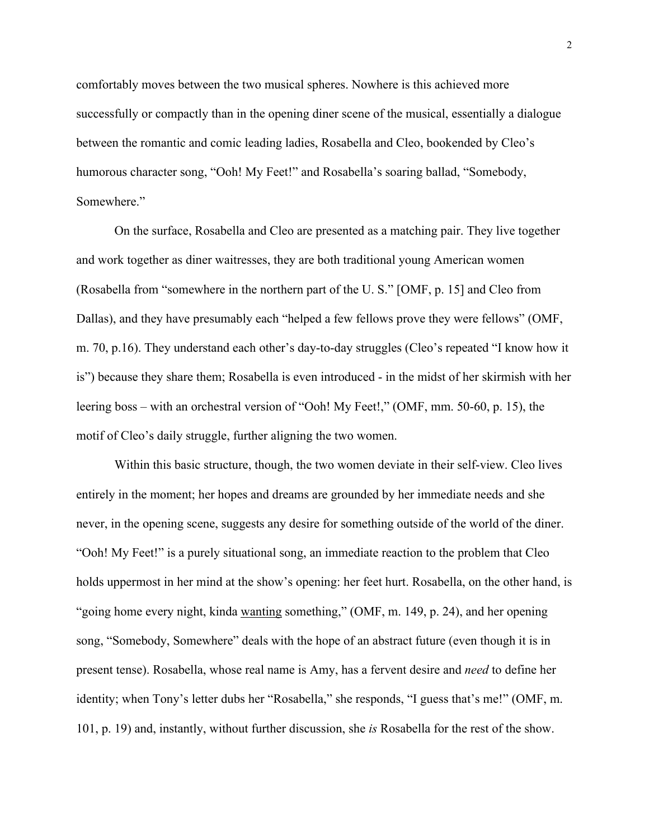comfortably moves between the two musical spheres. Nowhere is this achieved more successfully or compactly than in the opening diner scene of the musical, essentially a dialogue between the romantic and comic leading ladies, Rosabella and Cleo, bookended by Cleo's humorous character song, "Ooh! My Feet!" and Rosabella's soaring ballad, "Somebody, Somewhere."

On the surface, Rosabella and Cleo are presented as a matching pair. They live together and work together as diner waitresses, they are both traditional young American women (Rosabella from "somewhere in the northern part of the U. S." [OMF, p. 15] and Cleo from Dallas), and they have presumably each "helped a few fellows prove they were fellows" (OMF, m. 70, p.16). They understand each other's day-to-day struggles (Cleo's repeated "I know how it is") because they share them; Rosabella is even introduced - in the midst of her skirmish with her leering boss – with an orchestral version of "Ooh! My Feet!," (OMF, mm. 50-60, p. 15), the motif of Cleo's daily struggle, further aligning the two women.

Within this basic structure, though, the two women deviate in their self-view. Cleo lives entirely in the moment; her hopes and dreams are grounded by her immediate needs and she never, in the opening scene, suggests any desire for something outside of the world of the diner. "Ooh! My Feet!" is a purely situational song, an immediate reaction to the problem that Cleo holds uppermost in her mind at the show's opening: her feet hurt. Rosabella, on the other hand, is "going home every night, kinda wanting something," (OMF, m. 149, p. 24), and her opening song, "Somebody, Somewhere" deals with the hope of an abstract future (even though it is in present tense). Rosabella, whose real name is Amy, has a fervent desire and *need* to define her identity; when Tony's letter dubs her "Rosabella," she responds, "I guess that's me!" (OMF, m. 101, p. 19) and, instantly, without further discussion, she *is* Rosabella for the rest of the show.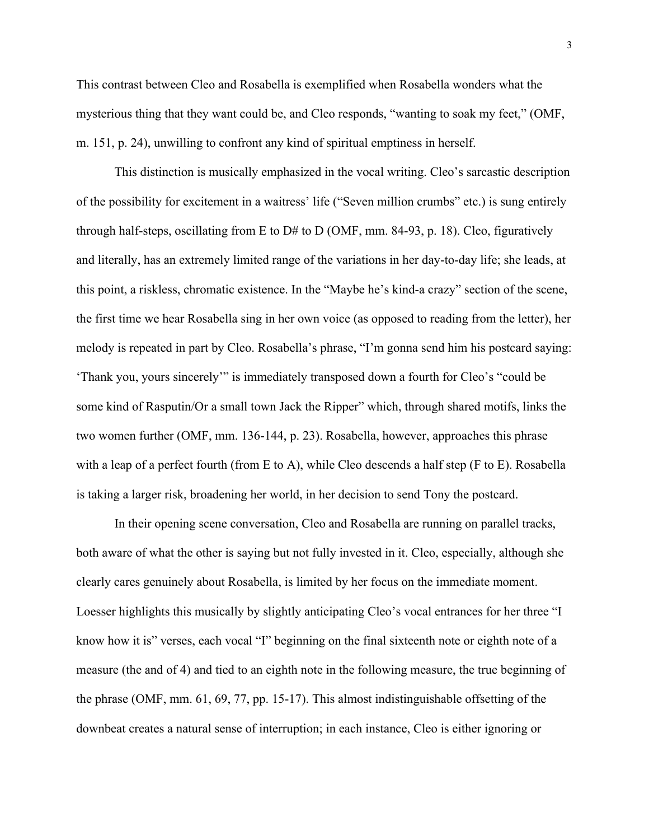This contrast between Cleo and Rosabella is exemplified when Rosabella wonders what the mysterious thing that they want could be, and Cleo responds, "wanting to soak my feet," (OMF, m. 151, p. 24), unwilling to confront any kind of spiritual emptiness in herself.

This distinction is musically emphasized in the vocal writing. Cleo's sarcastic description of the possibility for excitement in a waitress' life ("Seven million crumbs" etc.) is sung entirely through half-steps, oscillating from E to D# to D (OMF, mm. 84-93, p. 18). Cleo, figuratively and literally, has an extremely limited range of the variations in her day-to-day life; she leads, at this point, a riskless, chromatic existence. In the "Maybe he's kind-a crazy" section of the scene, the first time we hear Rosabella sing in her own voice (as opposed to reading from the letter), her melody is repeated in part by Cleo. Rosabella's phrase, "I'm gonna send him his postcard saying: 'Thank you, yours sincerely'" is immediately transposed down a fourth for Cleo's "could be some kind of Rasputin/Or a small town Jack the Ripper" which, through shared motifs, links the two women further (OMF, mm. 136-144, p. 23). Rosabella, however, approaches this phrase with a leap of a perfect fourth (from E to A), while Cleo descends a half step (F to E). Rosabella is taking a larger risk, broadening her world, in her decision to send Tony the postcard.

In their opening scene conversation, Cleo and Rosabella are running on parallel tracks, both aware of what the other is saying but not fully invested in it. Cleo, especially, although she clearly cares genuinely about Rosabella, is limited by her focus on the immediate moment. Loesser highlights this musically by slightly anticipating Cleo's vocal entrances for her three "I know how it is" verses, each vocal "I" beginning on the final sixteenth note or eighth note of a measure (the and of 4) and tied to an eighth note in the following measure, the true beginning of the phrase (OMF, mm. 61, 69, 77, pp. 15-17). This almost indistinguishable offsetting of the downbeat creates a natural sense of interruption; in each instance, Cleo is either ignoring or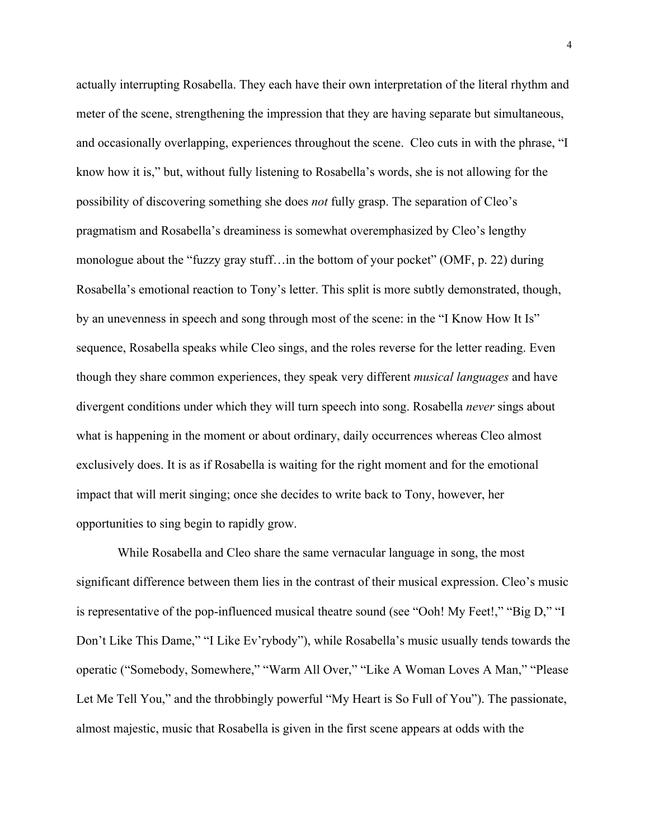actually interrupting Rosabella. They each have their own interpretation of the literal rhythm and meter of the scene, strengthening the impression that they are having separate but simultaneous, and occasionally overlapping, experiences throughout the scene. Cleo cuts in with the phrase, "I know how it is," but, without fully listening to Rosabella's words, she is not allowing for the possibility of discovering something she does *not* fully grasp. The separation of Cleo's pragmatism and Rosabella's dreaminess is somewhat overemphasized by Cleo's lengthy monologue about the "fuzzy gray stuff…in the bottom of your pocket" (OMF, p. 22) during Rosabella's emotional reaction to Tony's letter. This split is more subtly demonstrated, though, by an unevenness in speech and song through most of the scene: in the "I Know How It Is" sequence, Rosabella speaks while Cleo sings, and the roles reverse for the letter reading. Even though they share common experiences, they speak very different *musical languages* and have divergent conditions under which they will turn speech into song. Rosabella *never* sings about what is happening in the moment or about ordinary, daily occurrences whereas Cleo almost exclusively does. It is as if Rosabella is waiting for the right moment and for the emotional impact that will merit singing; once she decides to write back to Tony, however, her opportunities to sing begin to rapidly grow.

While Rosabella and Cleo share the same vernacular language in song, the most significant difference between them lies in the contrast of their musical expression. Cleo's music is representative of the pop-influenced musical theatre sound (see "Ooh! My Feet!," "Big D," "I Don't Like This Dame," "I Like Ev'rybody"), while Rosabella's music usually tends towards the operatic ("Somebody, Somewhere," "Warm All Over," "Like A Woman Loves A Man," "Please Let Me Tell You," and the throbbingly powerful "My Heart is So Full of You"). The passionate, almost majestic, music that Rosabella is given in the first scene appears at odds with the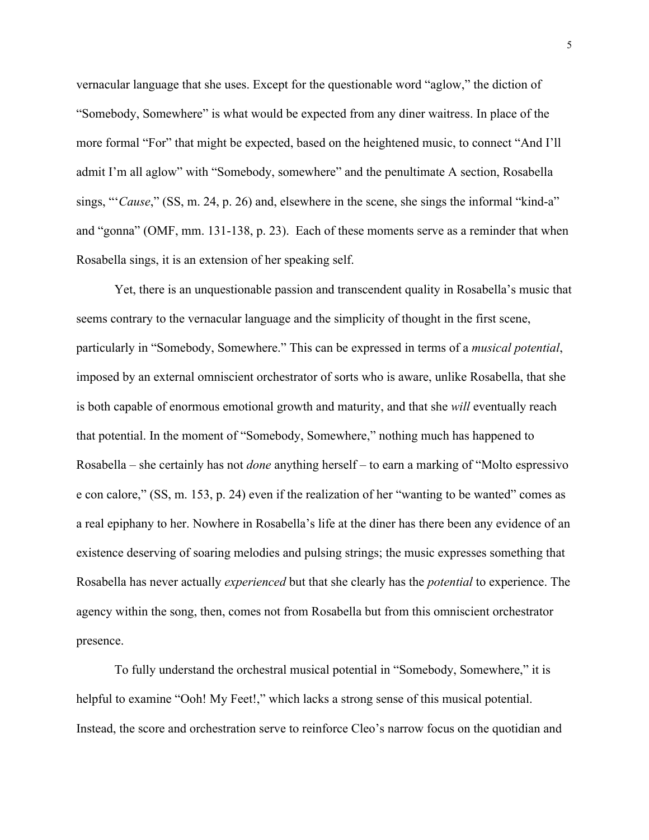vernacular language that she uses. Except for the questionable word "aglow," the diction of "Somebody, Somewhere" is what would be expected from any diner waitress. In place of the more formal "For" that might be expected, based on the heightened music, to connect "And I'll admit I'm all aglow" with "Somebody, somewhere" and the penultimate A section, Rosabella sings, "'*Cause*," (SS, m. 24, p. 26) and, elsewhere in the scene, she sings the informal "kind-a" and "gonna" (OMF, mm. 131-138, p. 23). Each of these moments serve as a reminder that when Rosabella sings, it is an extension of her speaking self.

Yet, there is an unquestionable passion and transcendent quality in Rosabella's music that seems contrary to the vernacular language and the simplicity of thought in the first scene, particularly in "Somebody, Somewhere." This can be expressed in terms of a *musical potential*, imposed by an external omniscient orchestrator of sorts who is aware, unlike Rosabella, that she is both capable of enormous emotional growth and maturity, and that she *will* eventually reach that potential. In the moment of "Somebody, Somewhere," nothing much has happened to Rosabella – she certainly has not *done* anything herself – to earn a marking of "Molto espressivo e con calore," (SS, m. 153, p. 24) even if the realization of her "wanting to be wanted" comes as a real epiphany to her. Nowhere in Rosabella's life at the diner has there been any evidence of an existence deserving of soaring melodies and pulsing strings; the music expresses something that Rosabella has never actually *experienced* but that she clearly has the *potential* to experience. The agency within the song, then, comes not from Rosabella but from this omniscient orchestrator presence.

To fully understand the orchestral musical potential in "Somebody, Somewhere," it is helpful to examine "Ooh! My Feet!," which lacks a strong sense of this musical potential. Instead, the score and orchestration serve to reinforce Cleo's narrow focus on the quotidian and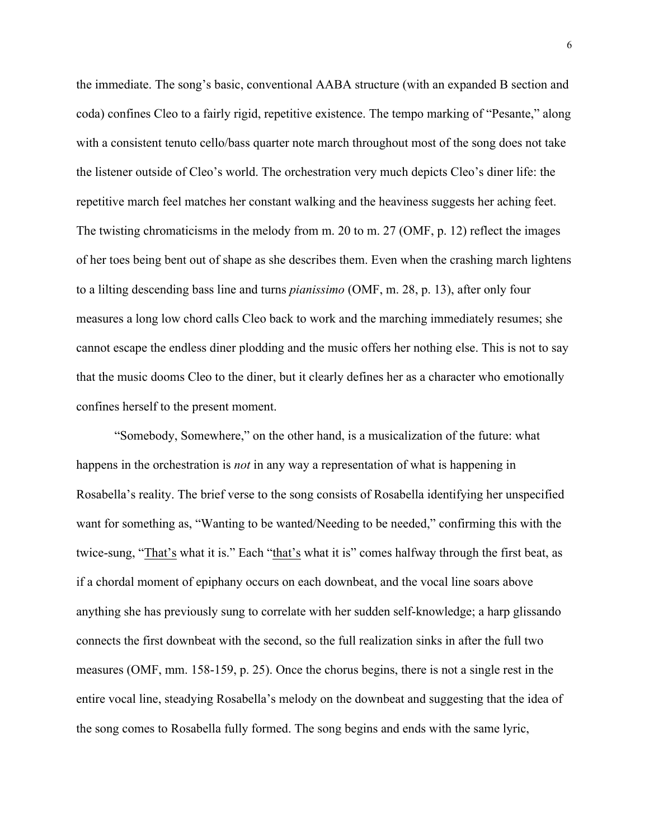the immediate. The song's basic, conventional AABA structure (with an expanded B section and coda) confines Cleo to a fairly rigid, repetitive existence. The tempo marking of "Pesante," along with a consistent tenuto cello/bass quarter note march throughout most of the song does not take the listener outside of Cleo's world. The orchestration very much depicts Cleo's diner life: the repetitive march feel matches her constant walking and the heaviness suggests her aching feet. The twisting chromaticisms in the melody from m. 20 to m. 27 (OMF, p. 12) reflect the images of her toes being bent out of shape as she describes them. Even when the crashing march lightens to a lilting descending bass line and turns *pianissimo* (OMF, m. 28, p. 13), after only four measures a long low chord calls Cleo back to work and the marching immediately resumes; she cannot escape the endless diner plodding and the music offers her nothing else. This is not to say that the music dooms Cleo to the diner, but it clearly defines her as a character who emotionally confines herself to the present moment.

"Somebody, Somewhere," on the other hand, is a musicalization of the future: what happens in the orchestration is *not* in any way a representation of what is happening in Rosabella's reality. The brief verse to the song consists of Rosabella identifying her unspecified want for something as, "Wanting to be wanted/Needing to be needed," confirming this with the twice-sung, "That's what it is." Each "that's what it is" comes halfway through the first beat, as if a chordal moment of epiphany occurs on each downbeat, and the vocal line soars above anything she has previously sung to correlate with her sudden self-knowledge; a harp glissando connects the first downbeat with the second, so the full realization sinks in after the full two measures (OMF, mm. 158-159, p. 25). Once the chorus begins, there is not a single rest in the entire vocal line, steadying Rosabella's melody on the downbeat and suggesting that the idea of the song comes to Rosabella fully formed. The song begins and ends with the same lyric,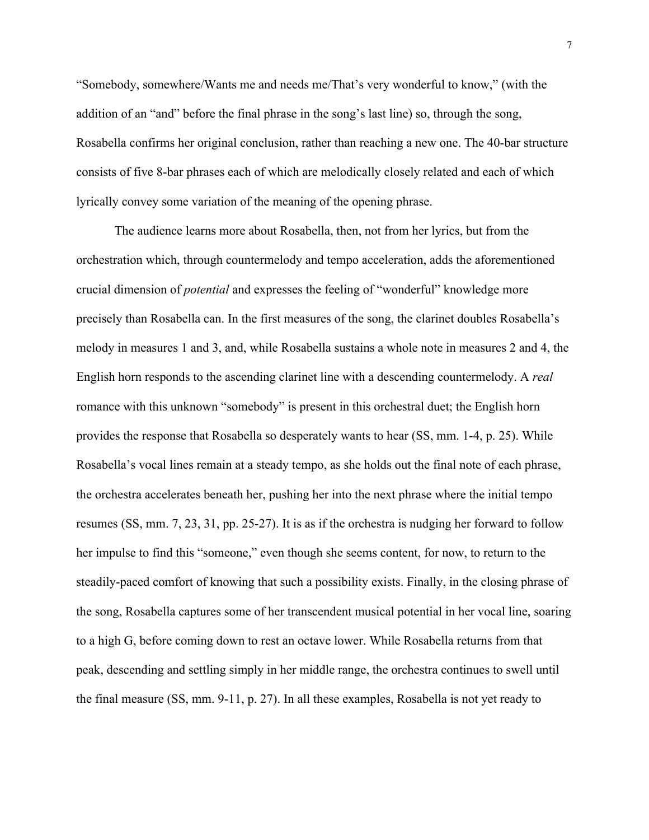"Somebody, somewhere/Wants me and needs me/That's very wonderful to know," (with the addition of an "and" before the final phrase in the song's last line) so, through the song, Rosabella confirms her original conclusion, rather than reaching a new one. The 40-bar structure consists of five 8-bar phrases each of which are melodically closely related and each of which lyrically convey some variation of the meaning of the opening phrase.

The audience learns more about Rosabella, then, not from her lyrics, but from the orchestration which, through countermelody and tempo acceleration, adds the aforementioned crucial dimension of *potential* and expresses the feeling of "wonderful" knowledge more precisely than Rosabella can. In the first measures of the song, the clarinet doubles Rosabella's melody in measures 1 and 3, and, while Rosabella sustains a whole note in measures 2 and 4, the English horn responds to the ascending clarinet line with a descending countermelody. A *real*  romance with this unknown "somebody" is present in this orchestral duet; the English horn provides the response that Rosabella so desperately wants to hear (SS, mm. 1-4, p. 25). While Rosabella's vocal lines remain at a steady tempo, as she holds out the final note of each phrase, the orchestra accelerates beneath her, pushing her into the next phrase where the initial tempo resumes (SS, mm. 7, 23, 31, pp. 25-27). It is as if the orchestra is nudging her forward to follow her impulse to find this "someone," even though she seems content, for now, to return to the steadily-paced comfort of knowing that such a possibility exists. Finally, in the closing phrase of the song, Rosabella captures some of her transcendent musical potential in her vocal line, soaring to a high G, before coming down to rest an octave lower. While Rosabella returns from that peak, descending and settling simply in her middle range, the orchestra continues to swell until the final measure (SS, mm. 9-11, p. 27). In all these examples, Rosabella is not yet ready to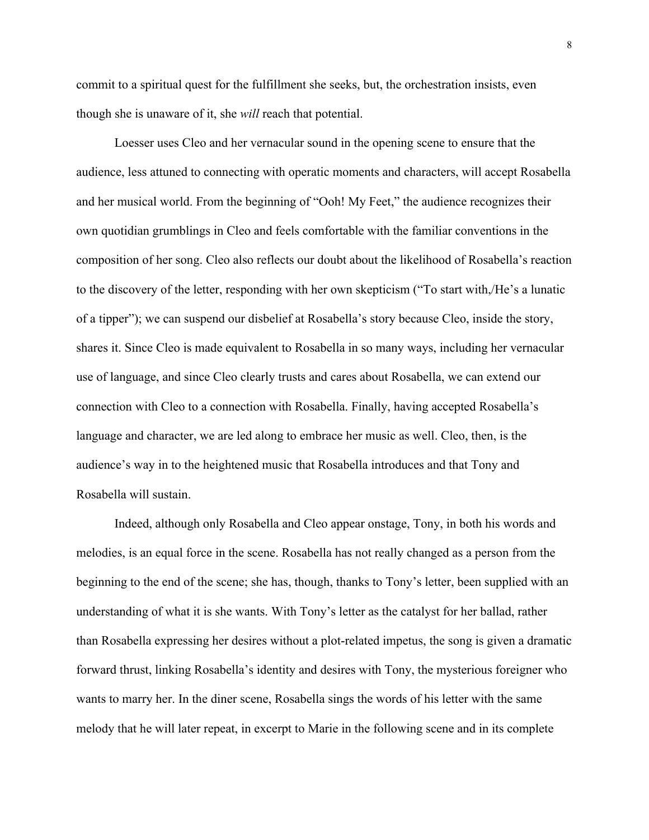commit to a spiritual quest for the fulfillment she seeks, but, the orchestration insists, even though she is unaware of it, she *will* reach that potential.

Loesser uses Cleo and her vernacular sound in the opening scene to ensure that the audience, less attuned to connecting with operatic moments and characters, will accept Rosabella and her musical world. From the beginning of "Ooh! My Feet," the audience recognizes their own quotidian grumblings in Cleo and feels comfortable with the familiar conventions in the composition of her song. Cleo also reflects our doubt about the likelihood of Rosabella's reaction to the discovery of the letter, responding with her own skepticism ("To start with,/He's a lunatic of a tipper"); we can suspend our disbelief at Rosabella's story because Cleo, inside the story, shares it. Since Cleo is made equivalent to Rosabella in so many ways, including her vernacular use of language, and since Cleo clearly trusts and cares about Rosabella, we can extend our connection with Cleo to a connection with Rosabella. Finally, having accepted Rosabella's language and character, we are led along to embrace her music as well. Cleo, then, is the audience's way in to the heightened music that Rosabella introduces and that Tony and Rosabella will sustain.

Indeed, although only Rosabella and Cleo appear onstage, Tony, in both his words and melodies, is an equal force in the scene. Rosabella has not really changed as a person from the beginning to the end of the scene; she has, though, thanks to Tony's letter, been supplied with an understanding of what it is she wants. With Tony's letter as the catalyst for her ballad, rather than Rosabella expressing her desires without a plot-related impetus, the song is given a dramatic forward thrust, linking Rosabella's identity and desires with Tony, the mysterious foreigner who wants to marry her. In the diner scene, Rosabella sings the words of his letter with the same melody that he will later repeat, in excerpt to Marie in the following scene and in its complete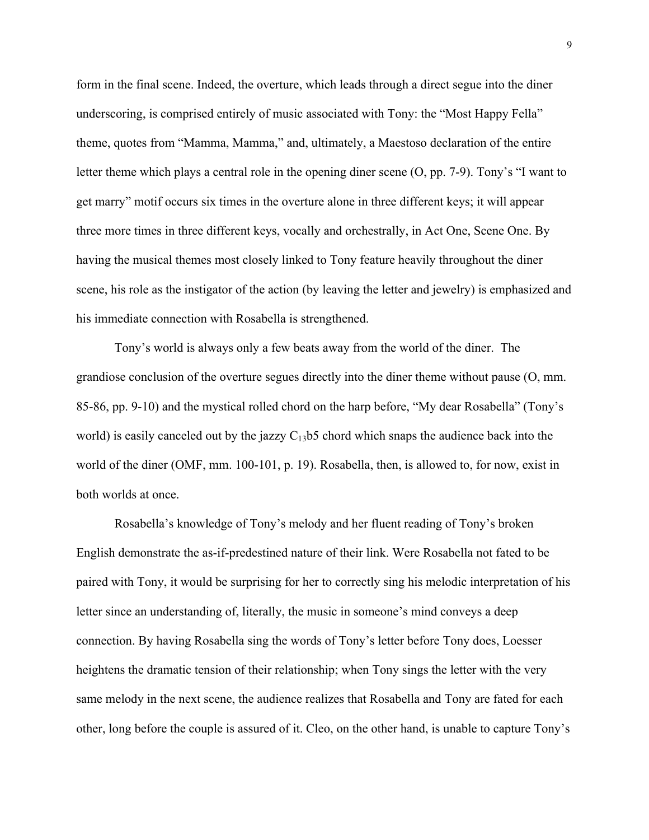form in the final scene. Indeed, the overture, which leads through a direct segue into the diner underscoring, is comprised entirely of music associated with Tony: the "Most Happy Fella" theme, quotes from "Mamma, Mamma," and, ultimately, a Maestoso declaration of the entire letter theme which plays a central role in the opening diner scene (O, pp. 7-9). Tony's "I want to get marry" motif occurs six times in the overture alone in three different keys; it will appear three more times in three different keys, vocally and orchestrally, in Act One, Scene One. By having the musical themes most closely linked to Tony feature heavily throughout the diner scene, his role as the instigator of the action (by leaving the letter and jewelry) is emphasized and his immediate connection with Rosabella is strengthened.

Tony's world is always only a few beats away from the world of the diner. The grandiose conclusion of the overture segues directly into the diner theme without pause (O, mm. 85-86, pp. 9-10) and the mystical rolled chord on the harp before, "My dear Rosabella" (Tony's world) is easily canceled out by the jazzy  $C_{13}$ b5 chord which snaps the audience back into the world of the diner (OMF, mm. 100-101, p. 19). Rosabella, then, is allowed to, for now, exist in both worlds at once.

Rosabella's knowledge of Tony's melody and her fluent reading of Tony's broken English demonstrate the as-if-predestined nature of their link. Were Rosabella not fated to be paired with Tony, it would be surprising for her to correctly sing his melodic interpretation of his letter since an understanding of, literally, the music in someone's mind conveys a deep connection. By having Rosabella sing the words of Tony's letter before Tony does, Loesser heightens the dramatic tension of their relationship; when Tony sings the letter with the very same melody in the next scene, the audience realizes that Rosabella and Tony are fated for each other, long before the couple is assured of it. Cleo, on the other hand, is unable to capture Tony's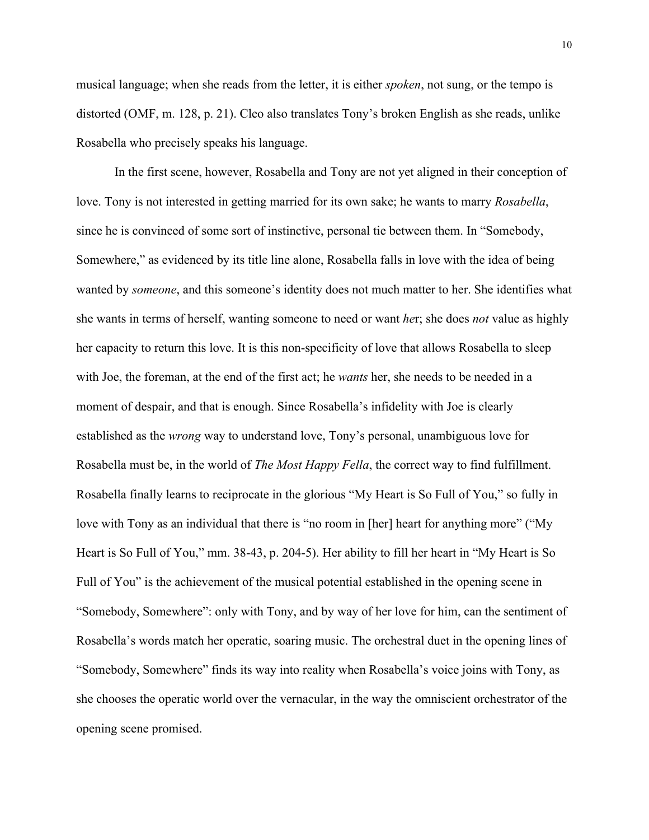musical language; when she reads from the letter, it is either *spoken*, not sung, or the tempo is distorted (OMF, m. 128, p. 21). Cleo also translates Tony's broken English as she reads, unlike Rosabella who precisely speaks his language.

In the first scene, however, Rosabella and Tony are not yet aligned in their conception of love. Tony is not interested in getting married for its own sake; he wants to marry *Rosabella*, since he is convinced of some sort of instinctive, personal tie between them. In "Somebody, Somewhere," as evidenced by its title line alone, Rosabella falls in love with the idea of being wanted by *someone*, and this someone's identity does not much matter to her. She identifies what she wants in terms of herself, wanting someone to need or want *he*r; she does *not* value as highly her capacity to return this love. It is this non-specificity of love that allows Rosabella to sleep with Joe, the foreman, at the end of the first act; he *wants* her, she needs to be needed in a moment of despair, and that is enough. Since Rosabella's infidelity with Joe is clearly established as the *wrong* way to understand love, Tony's personal, unambiguous love for Rosabella must be, in the world of *The Most Happy Fella*, the correct way to find fulfillment. Rosabella finally learns to reciprocate in the glorious "My Heart is So Full of You," so fully in love with Tony as an individual that there is "no room in [her] heart for anything more" ("My Heart is So Full of You," mm. 38-43, p. 204-5). Her ability to fill her heart in "My Heart is So Full of You" is the achievement of the musical potential established in the opening scene in "Somebody, Somewhere": only with Tony, and by way of her love for him, can the sentiment of Rosabella's words match her operatic, soaring music. The orchestral duet in the opening lines of "Somebody, Somewhere" finds its way into reality when Rosabella's voice joins with Tony, as she chooses the operatic world over the vernacular, in the way the omniscient orchestrator of the opening scene promised.